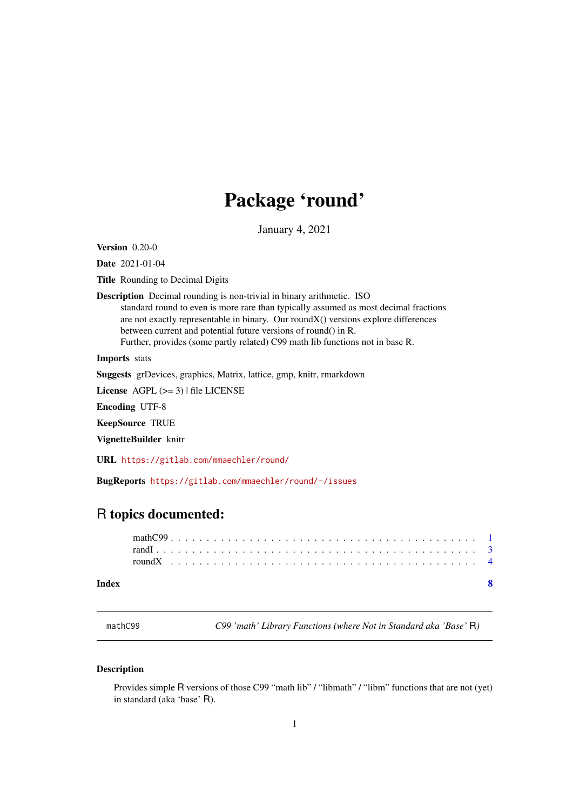## Package 'round'

January 4, 2021

<span id="page-0-1"></span><span id="page-0-0"></span>Version 0.20-0

Date 2021-01-04

Title Rounding to Decimal Digits

Description Decimal rounding is non-trivial in binary arithmetic. ISO standard round to even is more rare than typically assumed as most decimal fractions are not exactly representable in binary. Our roundX() versions explore differences between current and potential future versions of round() in R. Further, provides (some partly related) C99 math lib functions not in base R.

Imports stats

Suggests grDevices, graphics, Matrix, lattice, gmp, knitr, rmarkdown

License  $AGPL$  ( $>=$  3) | file LICENSE

Encoding UTF-8

KeepSource TRUE

VignetteBuilder knitr

URL <https://gitlab.com/mmaechler/round/>

BugReports <https://gitlab.com/mmaechler/round/-/issues>

### R topics documented:

#### **Index** [8](#page-7-0) **8**

mathC99 *C99 'math' Library Functions (where Not in Standard aka 'Base'* R*)*

#### <span id="page-0-2"></span>Description

Provides simple R versions of those C99 "math lib" / "libmath" / "libm" functions that are not (yet) in standard (aka 'base' R).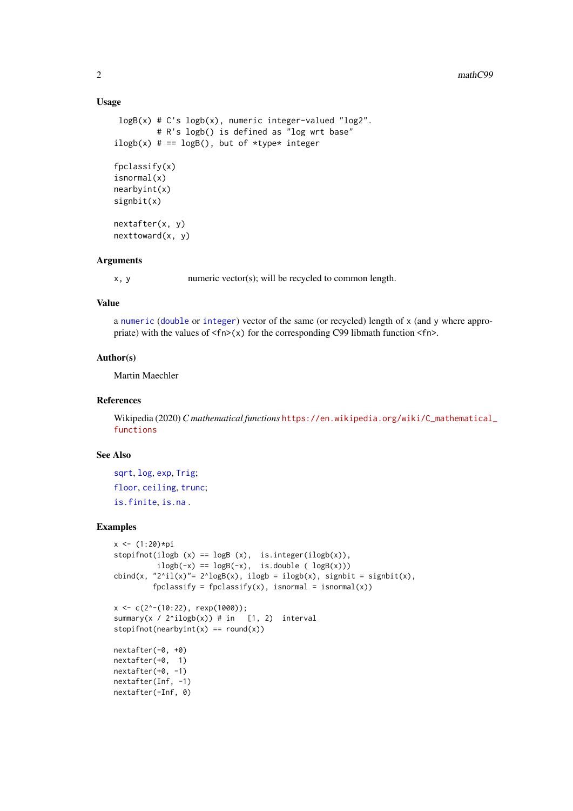#### Usage

```
logB(x) # C's logb(x), numeric integer-valued "log2".
         # R's logb() is defined as "log wrt base"
ilogb(x) # == logB(), but of *type* integer
fpclassify(x)
isnormal(x)
nearbyint(x)
signbit(x)
nextafter(x, y)
```
nexttoward(x, y)

#### Arguments

x, y numeric vector(s); will be recycled to common length.

#### Value

a [numeric](#page-0-1) ([double](#page-0-1) or [integer](#page-0-1)) vector of the same (or recycled) length of x (and y where appropriate) with the values of  $\langle f \rangle(x)$  for the corresponding C99 libmath function  $\langle f \rangle$ .

#### Author(s)

Martin Maechler

#### References

Wikipedia (2020) *C mathematical functions* [https://en.wikipedia.org/wiki/C\\_mathematical\\_](https://en.wikipedia.org/wiki/C_mathematical_functions) [functions](https://en.wikipedia.org/wiki/C_mathematical_functions)

#### See Also

[sqrt](#page-0-1), [log](#page-0-1), [exp](#page-0-1), [Trig](#page-0-1); [floor](#page-0-1), [ceiling](#page-0-1), [trunc](#page-0-1); [is.finite](#page-0-1), [is.na](#page-0-1) .

#### Examples

```
x < - (1:20)*pi
stopifnot(ilogb (x) == logB(x), is.integer(ilogb(x)),
          ilogb(-x) == logB(-x), is. double (logB(x)))\text{cbind}(x, "2^i1(x)''= 2^i\text{log}B(x), \text{ilogb = ilogb}(x), \text{ signbit = signbit}(x),fpclassify = fpclassify(x), isnormal = isnormal(x))
x \leftarrow c(2^(-10:22), \text{resp}(1000));summary(x / 2^iilogb(x)) # in [1, 2) interval
stopifnot(nearbyint(x) == round(x))
nextafter(-0, +0)
nextafter(+0, 1)
nextafter(+0, -1)
nextafter(Inf, -1)
nextafter(-Inf, 0)
```
<span id="page-1-0"></span>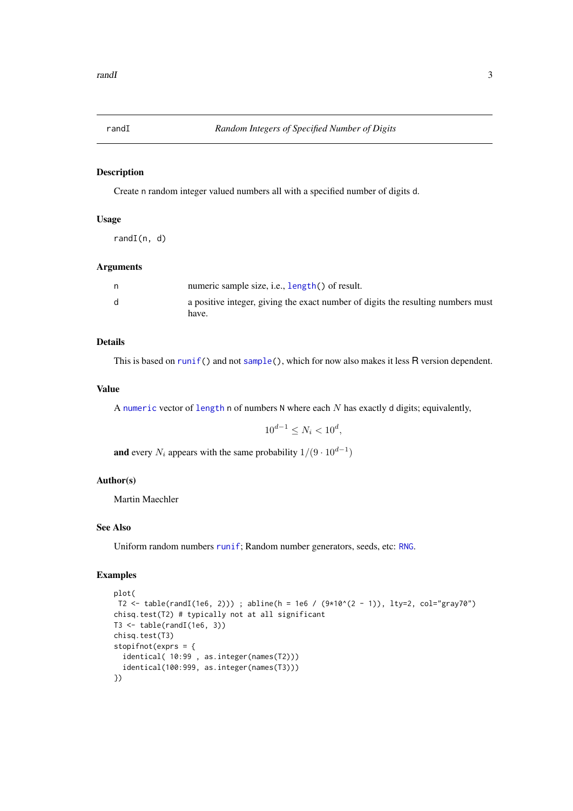<span id="page-2-0"></span>

#### Description

Create n random integer valued numbers all with a specified number of digits d.

#### Usage

randI(n, d)

#### Arguments

|    | numeric sample size, i.e., length() of result.                                   |
|----|----------------------------------------------------------------------------------|
| d. | a positive integer, giving the exact number of digits the resulting numbers must |
|    | have.                                                                            |

#### Details

This is based on [runif\(](#page-0-1)) and not [sample\(](#page-0-1)), which for now also makes it less R version dependent.

#### Value

A [numeric](#page-0-1) vector of [length](#page-0-1) n of numbers  $N$  where each  $N$  has exactly d digits; equivalently,

 $10^{d-1} \leq N_i < 10^d$ ,

**and** every  $N_i$  appears with the same probability  $1/(9 \cdot 10^{d-1})$ 

#### Author(s)

Martin Maechler

#### See Also

Uniform random numbers [runif](#page-0-1); Random number generators, seeds, etc: [RNG](#page-0-1).

#### Examples

```
plot(
T2 <- table(randI(1e6, 2))) ; abline(h = 1e6 / (9*10^(2 - 1)), lty=2, col="gray70")
chisq.test(T2) # typically not at all significant
T3 \leftarrow table(randI(1e6, 3))
chisq.test(T3)
stopifnot(exprs = {
  identical( 10:99 , as.integer(names(T2)))
  identical(100:999, as.integer(names(T3)))
})
```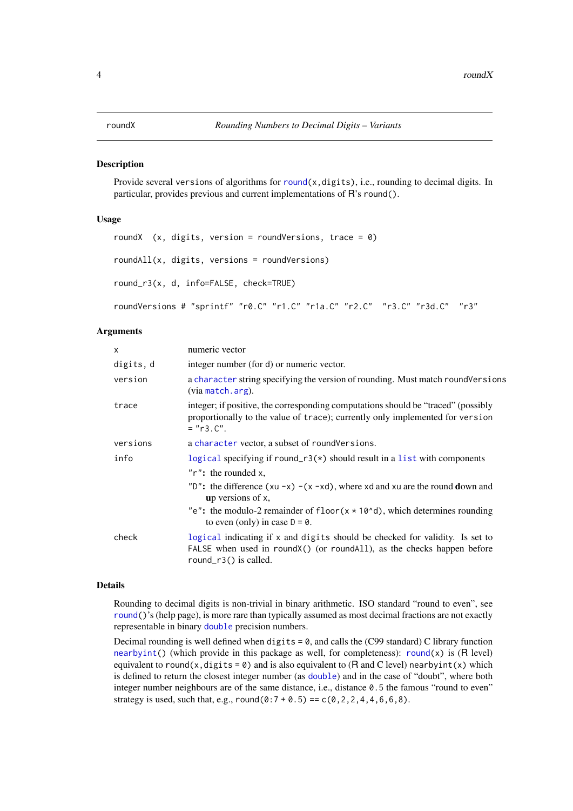#### <span id="page-3-1"></span><span id="page-3-0"></span>Description

Provide several versions of algorithms for [round\(](#page-0-1)x,digits), i.e., rounding to decimal digits. In particular, provides previous and current implementations of R's round().

#### Usage

```
roundX (x, \text{ digits}, \text{version} = \text{roundVersions}, \text{trace} = 0)roundAll(x, digits, versions = roundVersions)
round_r3(x, d, info=FALSE, check=TRUE)
roundVersions # "sprintf" "r0.C" "r1.C" "r1a.C" "r2.C" "r3.C" "r3d.C" "r3"
```
#### Arguments

| $\mathsf{x}$ | numeric vector                                                                                                                                                                    |
|--------------|-----------------------------------------------------------------------------------------------------------------------------------------------------------------------------------|
| digits, d    | integer number (for d) or numeric vector.                                                                                                                                         |
| version      | a character string specifying the version of rounding. Must match roundVersions<br>(via match.arg).                                                                               |
| trace        | integer; if positive, the corresponding computations should be "traced" (possibly<br>proportionally to the value of trace); currently only implemented for version<br>$= "r3.C".$ |
| versions     | a character vector, a subset of roundVersions.                                                                                                                                    |
| info         | logical specifying if round_r3( $\ast$ ) should result in a list with components                                                                                                  |
|              | $"r"$ : the rounded x,                                                                                                                                                            |
|              | "D": the difference $(xu - x) - (x - xd)$ , where xd and xu are the round down and<br>up versions of $x$ ,                                                                        |
|              | "e": the modulo-2 remainder of floor( $x * 10^{\circ}d$ ), which determines rounding<br>to even (only) in case $D = 0$ .                                                          |
| check        | logical indicating if x and digits should be checked for validity. Is set to<br>FALSE when used in round X() (or round All), as the checks happen before<br>round_r3() is called. |

#### Details

Rounding to decimal digits is non-trivial in binary arithmetic. ISO standard "round to even", see [round\(](#page-0-1))'s (help page), is more rare than typically assumed as most decimal fractions are not exactly representable in binary [double](#page-0-1) precision numbers.

Decimal rounding is well defined when digits  $= 0$ , and calls the (C99 standard) C library function [nearbyint\(](#page-0-2)) (which provide in this package as well, for completeness): [round\(](#page-0-1)x) is (R level) equivalent to round(x,digits =  $\theta$ ) and is also equivalent to (R and C level) nearbyint(x) which is defined to return the closest integer number (as [double](#page-0-1)) and in the case of "doubt", where both integer number neighbours are of the same distance, i.e., distance 0.5 the famous "round to even" strategy is used, such that, e.g.,  $round(0:7 + 0.5) == c(0, 2, 2, 4, 4, 6, 6, 8)$ .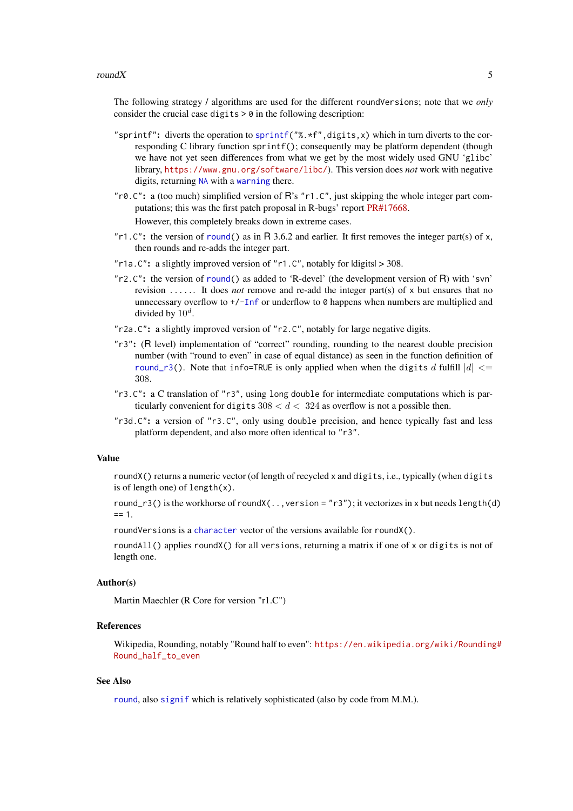#### <span id="page-4-0"></span> $roundX$  5

The following strategy / algorithms are used for the different roundVersions; note that we *only* consider the crucial case digits  $> 0$  in the following description:

- "sprintf": diverts the operation to [sprintf\(](#page-0-1)"%.\*f",digits,x) which in turn diverts to the corresponding C library function sprintf(); consequently may be platform dependent (though we have not yet seen differences from what we get by the most widely used GNU 'glibc' library, <https://www.gnu.org/software/libc/>). This version does *not* work with negative digits, returning [NA](#page-0-1) with a [warning](#page-0-1) there.
- " $r0.C$ ": a (too much) simplified version of R's " $r1.C$ ", just skipping the whole integer part computations; this was the first patch proposal in R-bugs' report [PR#17668.](https://bugs.R-project.org/bugzilla3/show_bug.cgi?id=17668) However, this completely breaks down in extreme cases.
- "r1. $C$ ": the version of [round\(](#page-0-1)) as in R 3.6.2 and earlier. It first removes the integer part(s) of x, then rounds and re-adds the integer part.
- "r1a. $C$ ": a slightly improved version of "r1. $C$ ", notably for  $|di g$ its $| > 308$ .
- "r2.C": the version of [round\(](#page-0-1)) as added to 'R-devel' (the development version of R) with 'svn' revision ...... It does *not* remove and re-add the integer part(s) of x but ensures that no unnecessary overflow to  $+\sqrt{-1}$  f or underflow to  $\theta$  happens when numbers are multiplied and divided by  $10^d$ .
- "r2a.C": a slightly improved version of "r2.C", notably for large negative digits.
- "r3": (R level) implementation of "correct" rounding, rounding to the nearest double precision number (with "round to even" in case of equal distance) as seen in the function definition of round  $r3()$ . Note that info=TRUE is only applied when when the digits d fulfill  $|d| \leq$ 308.
- "r3.C": a C translation of "r3", using long double for intermediate computations which is particularly convenient for digits  $308 < d < 324$  as overflow is not a possible then.
- "r3d.C": a version of "r3.C", only using double precision, and hence typically fast and less platform dependent, and also more often identical to "r3".

#### Value

roundX() returns a numeric vector (of length of recycled x and digits, i.e., typically (when digits is of length one) of length(x).

round\_r3() is the workhorse of round $X(\dots$ version = "r3"); it vectorizes in x but needs length(d)  $== 1.$ 

roundVersions is a [character](#page-0-1) vector of the versions available for roundX().

roundAll() applies roundX() for all versions, returning a matrix if one of x or digits is not of length one.

#### Author(s)

Martin Maechler (R Core for version "r1.C")

#### References

Wikipedia, Rounding, notably "Round half to even": [https://en.wikipedia.org/wiki/Rounding](https://en.wikipedia.org/wiki/Rounding#Round_half_to_even)# [Round\\_half\\_to\\_even](https://en.wikipedia.org/wiki/Rounding#Round_half_to_even)

#### See Also

[round](#page-0-1), also [signif](#page-0-1) which is relatively sophisticated (also by code from M.M.).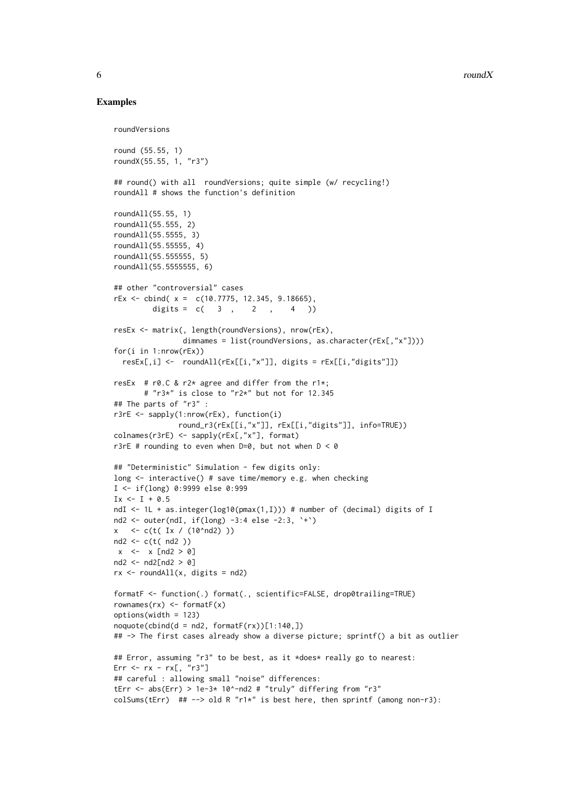$\sim$  6  $\sim$  roundX

#### Examples

```
roundVersions
round (55.55, 1)
roundX(55.55, 1, "r3")
## round() with all roundVersions; quite simple (w/ recycling!)
roundAll # shows the function's definition
roundAll(55.55, 1)
roundAll(55.555, 2)
roundAll(55.5555, 3)
roundAll(55.55555, 4)
roundAll(55.555555, 5)
roundAll(55.5555555, 6)
## other "controversial" cases
rEx <- cbind( x = c(10.7775, 12.345, 9.18665),
         digits = c( 3 , 2 , 4 ))
resEx <- matrix(, length(roundVersions), nrow(rEx),
                dimnames = list(roundVersions, as.character(rEx[,"x"])))
for(i in 1:nrow(rEx))
  resEx[,i] <- roundAll(rEx[[i,"x"]], digits = rEx[[i,"digits"]])
resEx # r0.C & r2* agree and differ from the r1*;
       # "r3*" is close to "r2*" but not for 12.345
## The parts of "r3" :
r3rE <- sapply(1:nrow(rEx), function(i)
               round_r3(rEx[[i,"x"]], rEx[[i,"digits"]], info=TRUE))
colnames(r3rE) <- sapply(rEx[,"x"], format)
r3rE # rounding to even when D=0, but not when D < 0## "Deterministic" Simulation - few digits only:
long <- interactive() # save time/memory e.g. when checking
I <- if(long) 0:9999 else 0:999
Ix \leftarrow I + 0.5ndI <- 1L + as.integer(log10(pmax(1,I))) # number of (decimal) digits of I
nd2 <- outer(ndI, if(long) -3:4 else -2:3, `+`)
x < -c(t(Ix / (10<sup>1</sup>nd2))))nd2 <- c(t( nd2 ))
x \le -x [nd2 > 0]
nd2 <- nd2[nd2 > 0]
rx < - roundAll(x, \text{ digits} = \text{nd2})formatF <- function(.) format(., scientific=FALSE, drop0trailing=TRUE)
rownames(rx) <- formatF(x)
options(width = 123)
n\text{oquote}(\text{cbind}(d = nd2, \text{formatF}(rx))[1:140,])## -> The first cases already show a diverse picture; sprintf() a bit as outlier
## Error, assuming "r3" to be best, as it *does* really go to nearest:
Err <- rx - rx[, "r3"]
## careful : allowing small "noise" differences:
tErr <- abs(Err) > 1e-3* 10^-nd2 # "truly" differing from "r3"
colSums(tErr) ## --> old R "r1*" is best here, then sprintf (among non-r3):
```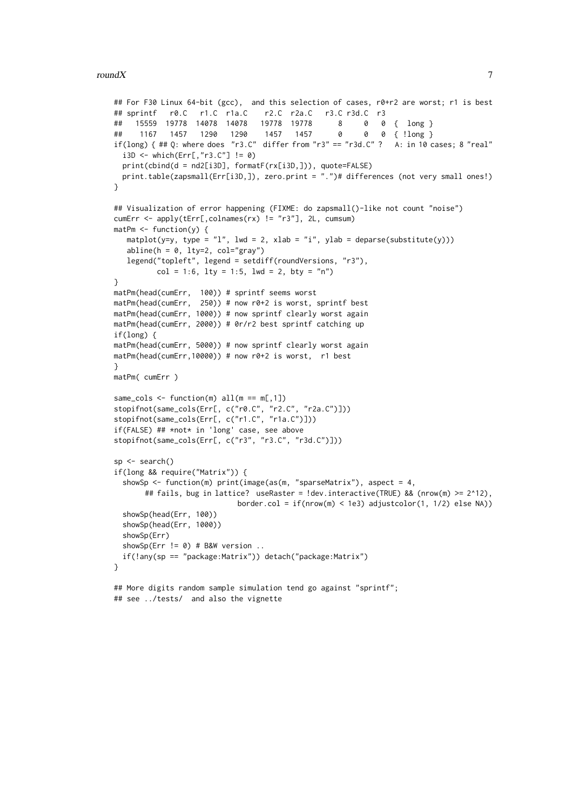```
## For F30 Linux 64-bit (gcc), and this selection of cases, r0+r2 are worst; r1 is best
## sprintf r0.C r1.C r1a.C r2.C r2a.C r3.C r3d.C r3
## 15559 19778 14078 14078 19778 19778 8 0 0 { long }
## 1167 1457 1290 1290 1457 1457 0
if(long) { ## Q: where does "r3.C" differ from "r3" == "r3d.C" ? A: in 10 cases; 8 "real"
 i3D <- which(Err[,"r3.C"] != 0)
  print(cbind(d = nd2[i3D], formatF(rx[i3D,])), quote=FALSE)
 print.table(zapsmall(Err[i3D,]), zero.print = ".")# differences (not very small ones!)
}
## Visualization of error happening (FIXME: do zapsmall()-like not count "noise")
cumErr <- apply(tErr[,colnames(rx) != "r3"], 2L, cumsum)
matPm \leftarrow function(y) {
  matplot(y=y, type = "l", lwd = 2, xlab = "i", ylab = deparse(substitute(y)))
   abline(h = 0, 1ty=2, col="gray")legend("topleft", legend = setdiff(roundVersions, "r3"),
         col = 1:6, lty = 1:5, lwd = 2, bty = "n")}
matPm(head(cumErr, 100)) # sprintf seems worst
matPm(head(cumErr, 250)) # now r0+2 is worst, sprintf best
matPm(head(cumErr, 1000)) # now sprintf clearly worst again
matPm(head(cumErr, 2000)) # 0r/r2 best sprintf catching up
if(long) {
matPm(head(cumErr, 5000)) # now sprintf clearly worst again
matPm(head(cumErr,10000)) # now r0+2 is worst, r1 best
\lambdamatPm( cumErr )
same_cols \leq function(m) all(m == m[,1])
stopifnot(same_cols(Err[, c("r0.C", "r2.C", "r2a.C")]))
stopifnot(same_cols(Err[, c("r1.C", "r1a.C")]))
if(FALSE) ## *not* in 'long' case, see above
stopifnot(same_cols(Err[, c("r3", "r3.C", "r3d.C")]))
sp <- search()
if(long && require("Matrix")) {
  showSp \leq function(m) print(image(as(m, "sparseMatrix"), aspect = 4,
       ## fails, bug in lattice? useRaster = !dev.interactive(TRUE) && (nrow(m) >= 2^12),
                            border.col = if(nrow(m) < 1e3) adjustcolor(1, 1/2) else NA))
  showSp(head(Err, 100))
  showSp(head(Err, 1000))
  showSp(Err)
  showSp(Err != 0) # B&W version ..
  if(!any(sp == "package:Matrix")) detach("package:Matrix")
}
## More digits random sample simulation tend go against "sprintf";
## see ../tests/ and also the vignette
```